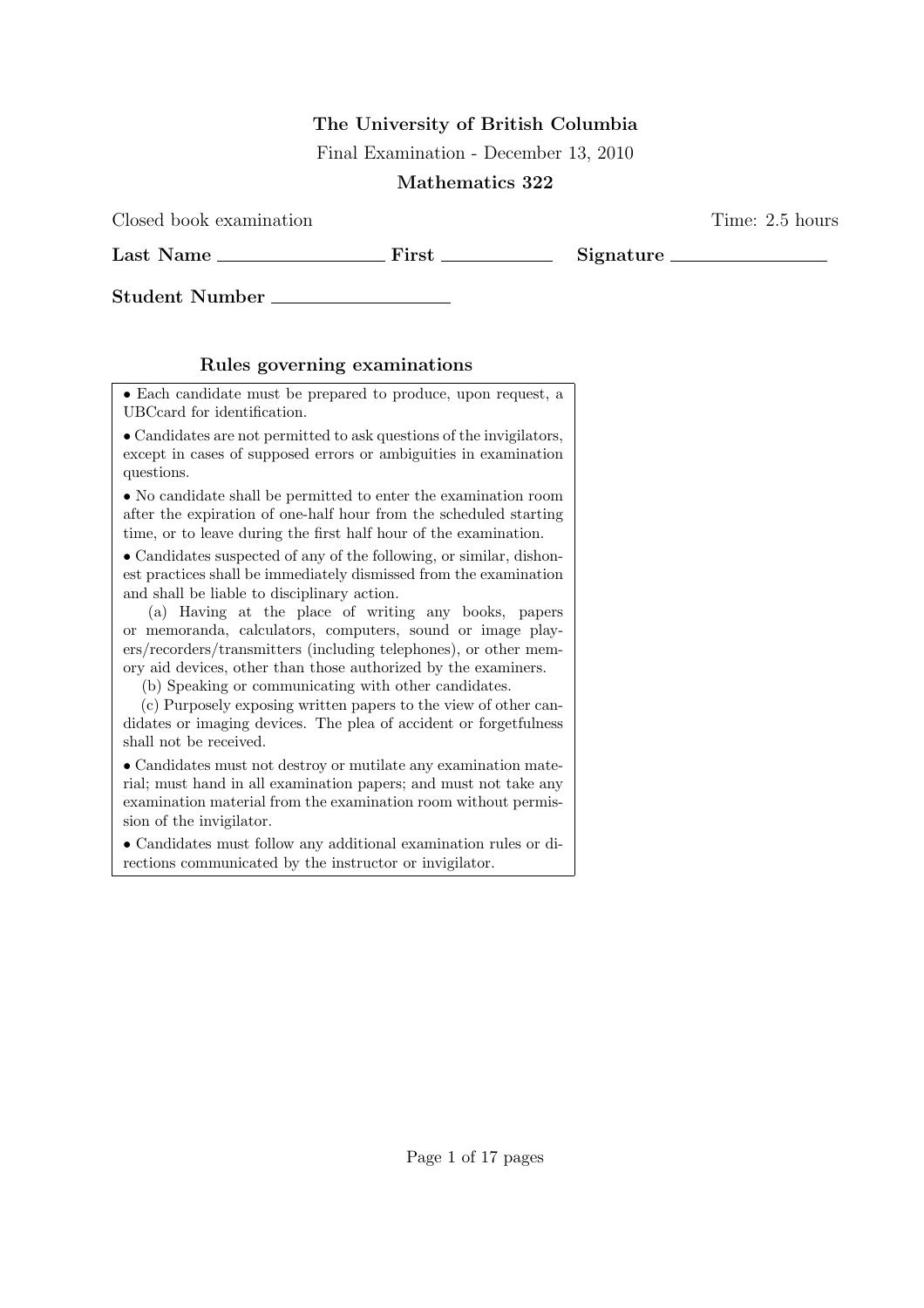## The University of British Columbia

Final Examination - December 13, 2010

## Mathematics 322

Closed book examination Time: 2.5 hours

Last Name First Signature

Student Number

## Rules governing examinations

• Each candidate must be prepared to produce, upon request, a UBCcard for identification.

• Candidates are not permitted to ask questions of the invigilators, except in cases of supposed errors or ambiguities in examination questions.

• No candidate shall be permitted to enter the examination room after the expiration of one-half hour from the scheduled starting time, or to leave during the first half hour of the examination.

• Candidates suspected of any of the following, or similar, dishonest practices shall be immediately dismissed from the examination and shall be liable to disciplinary action.

(a) Having at the place of writing any books, papers or memoranda, calculators, computers, sound or image players/recorders/transmitters (including telephones), or other memory aid devices, other than those authorized by the examiners.

(b) Speaking or communicating with other candidates.

(c) Purposely exposing written papers to the view of other candidates or imaging devices. The plea of accident or forgetfulness shall not be received.

• Candidates must not destroy or mutilate any examination material; must hand in all examination papers; and must not take any examination material from the examination room without permission of the invigilator.

• Candidates must follow any additional examination rules or directions communicated by the instructor or invigilator.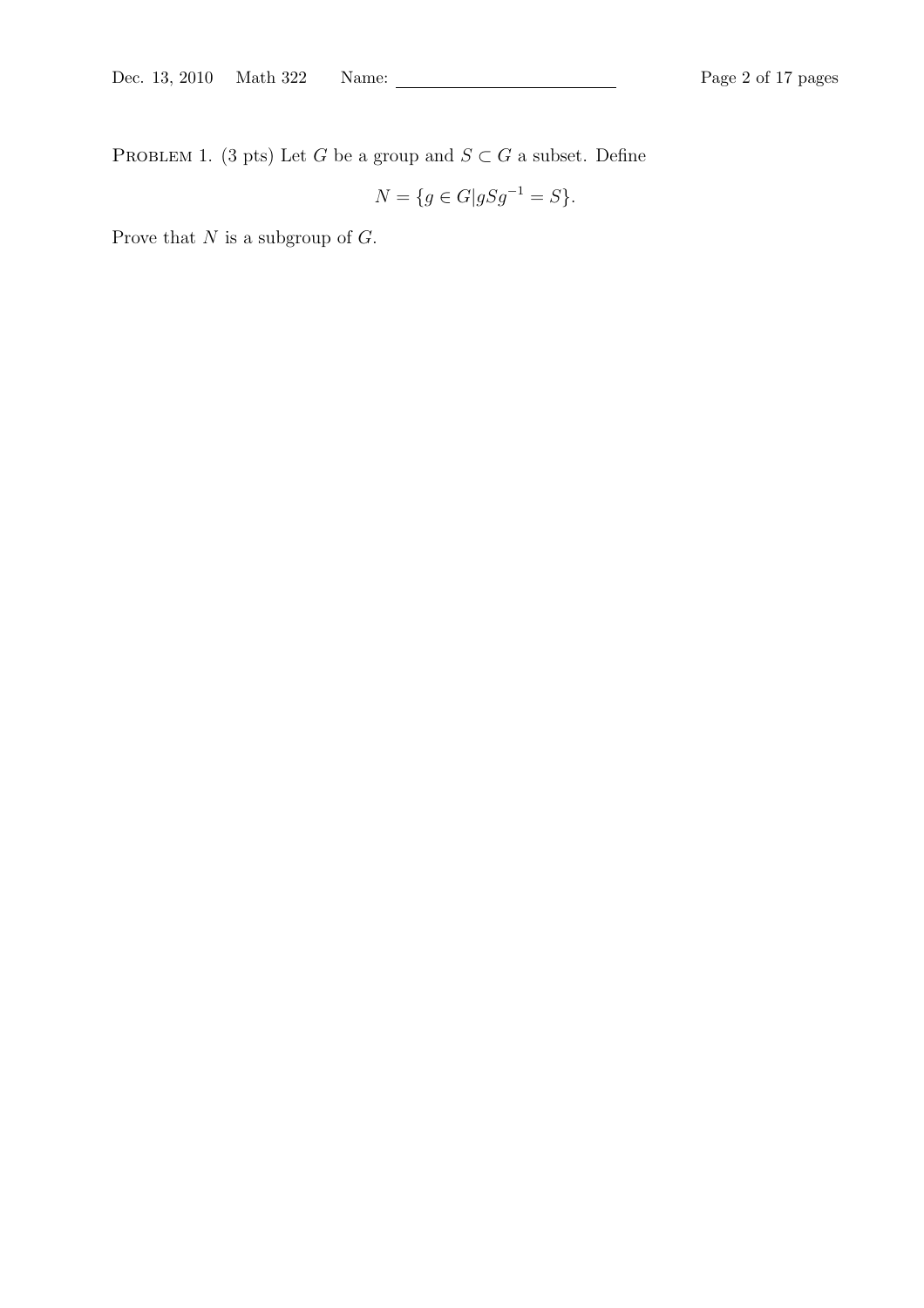PROBLEM 1. (3 pts) Let G be a group and  $S\subset G$  a subset. Define

$$
N = \{ g \in G | gSg^{-1} = S \}.
$$

Prove that  $N$  is a subgroup of  $G$ .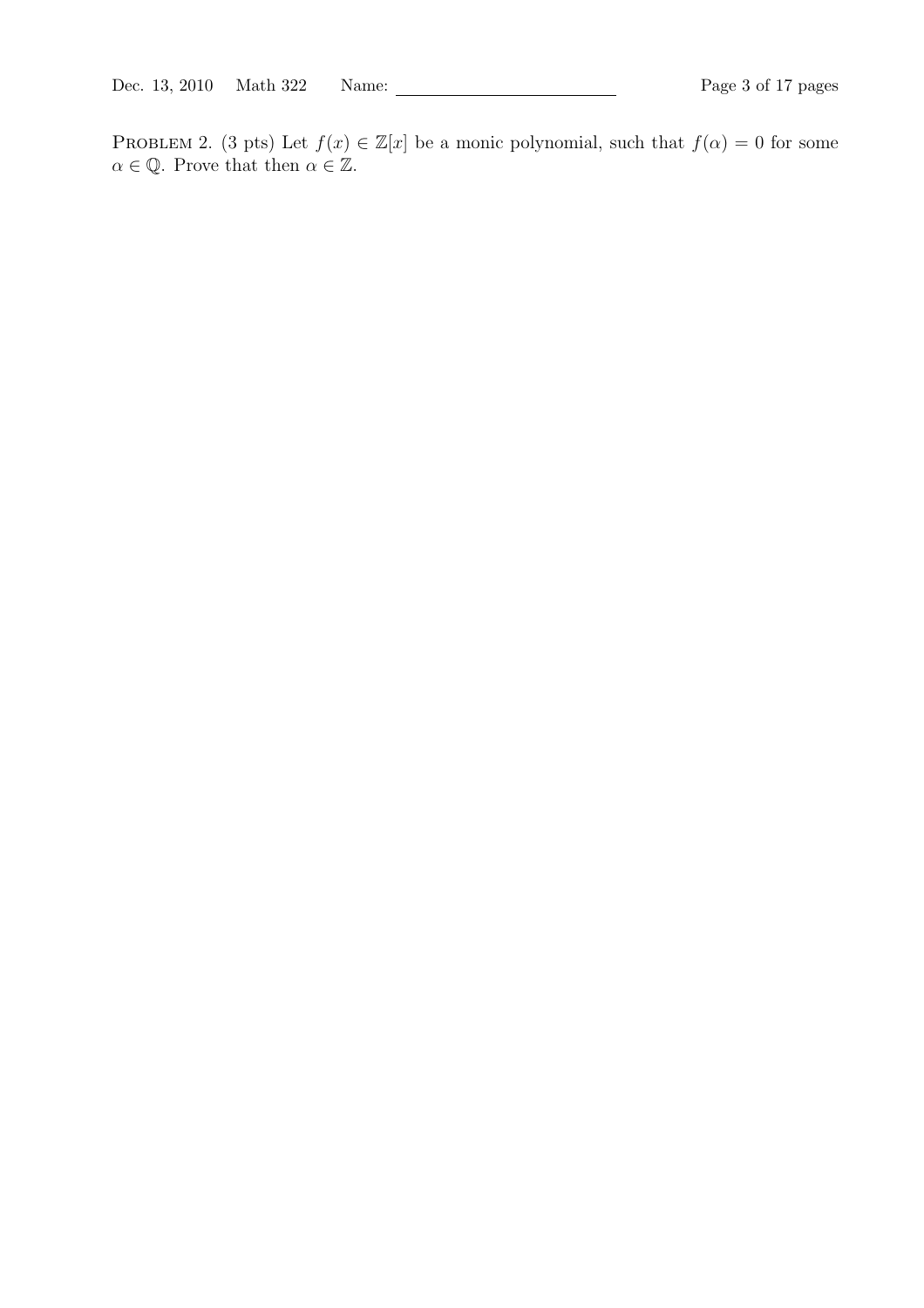PROBLEM 2. (3 pts) Let  $f(x) \in \mathbb{Z}[x]$  be a monic polynomial, such that  $f(\alpha) = 0$  for some  $\alpha \in \mathbb{Q}$ . Prove that then  $\alpha \in \mathbb{Z}$ .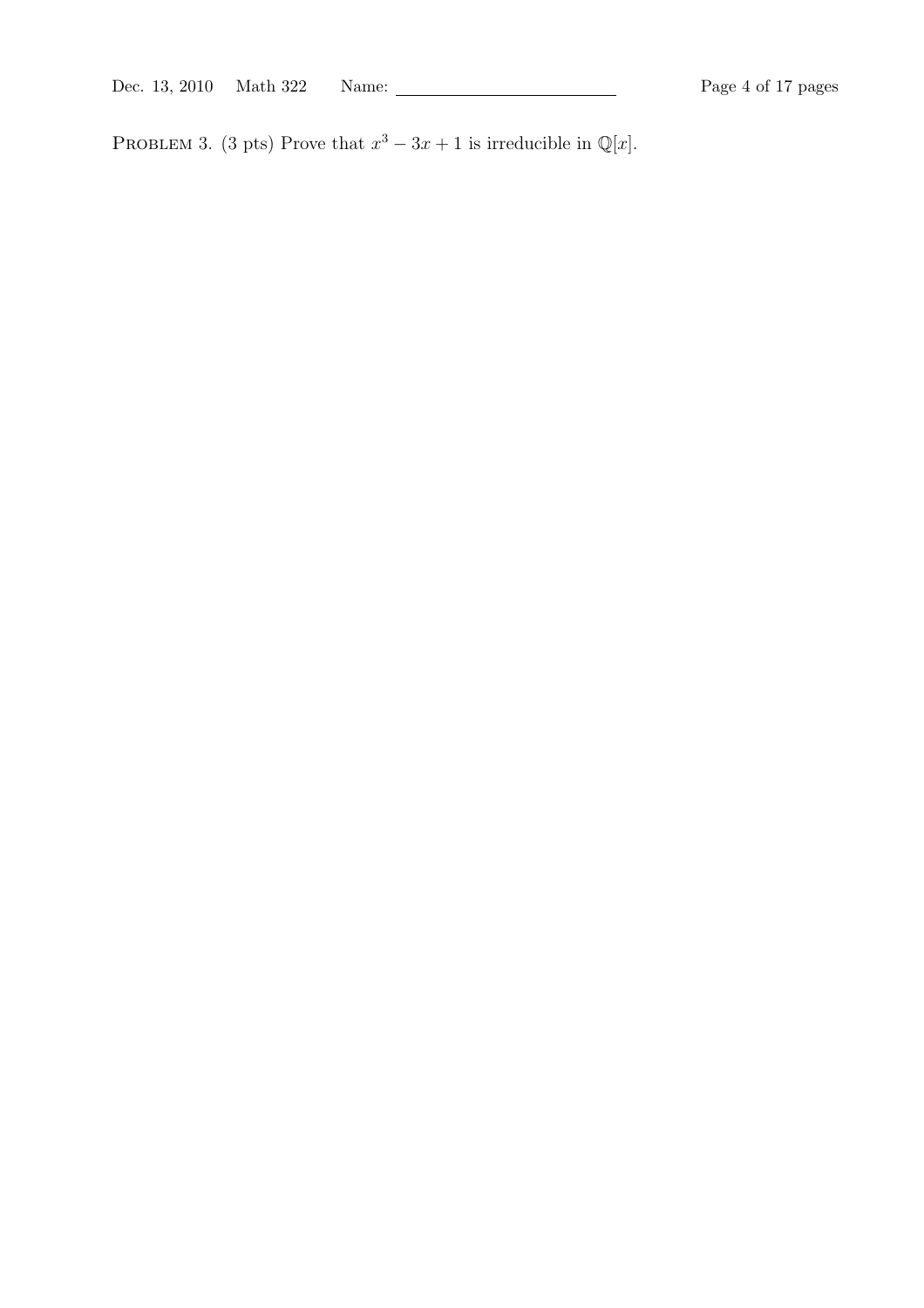Dec. 13, 2010 Math 322 Name: Page 4 of 17 pages

PROBLEM 3. (3 pts) Prove that  $x^3 - 3x + 1$  is irreducible in  $\mathbb{Q}[x]$ .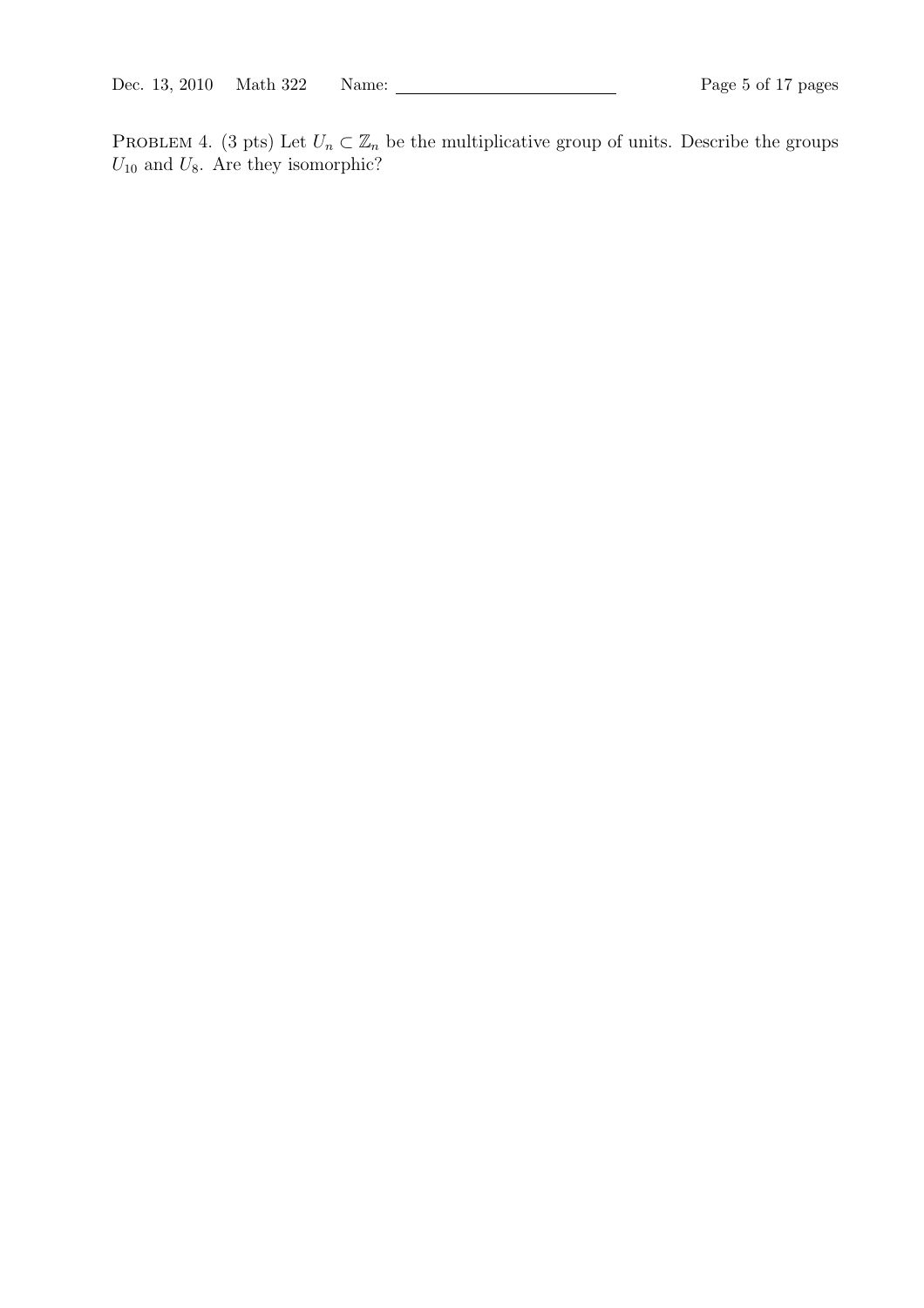PROBLEM 4. (3 pts) Let  $U_n \subset \mathbb{Z}_n$  be the multiplicative group of units. Describe the groups  $U_{10}$  and  $U_8$ . Are they isomorphic?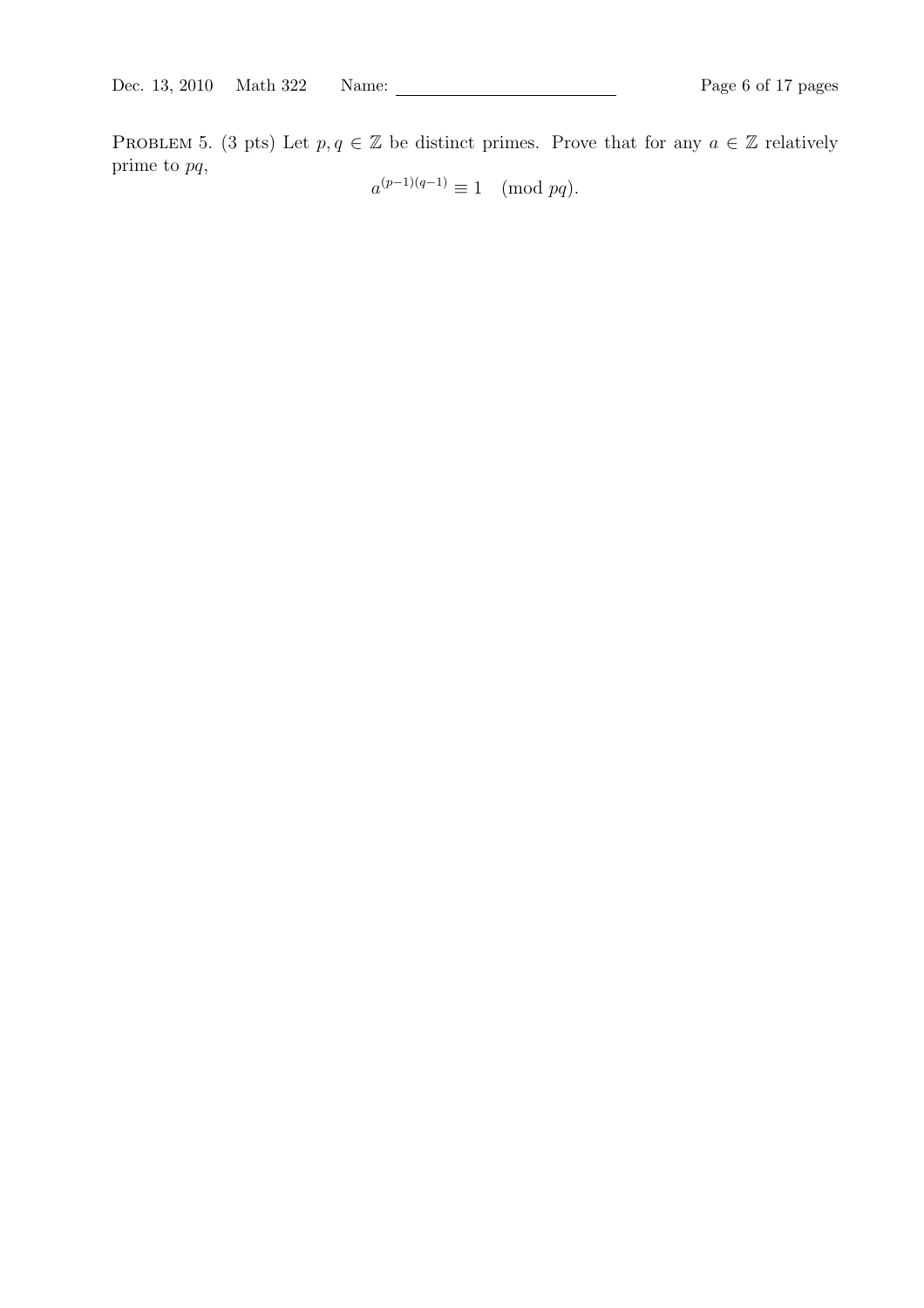PROBLEM 5. (3 pts) Let  $p, q \in \mathbb{Z}$  be distinct primes. Prove that for any  $a \in \mathbb{Z}$  relatively prime to pq,

 $a^{(p-1)(q-1)} \equiv 1 \pmod{pq}.$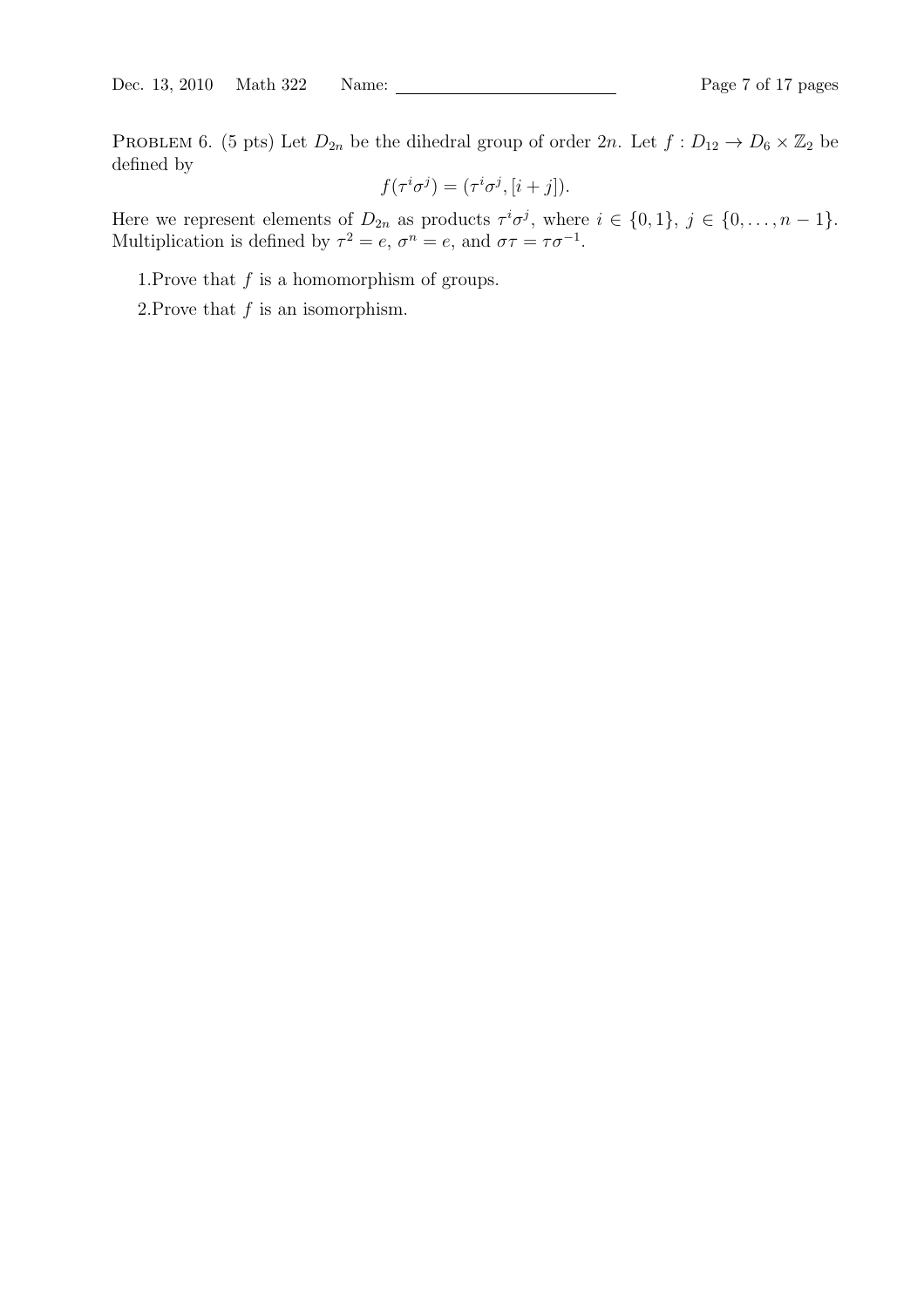PROBLEM 6. (5 pts) Let  $D_{2n}$  be the dihedral group of order  $2n$ . Let  $f: D_{12} \to D_6 \times \mathbb{Z}_2$  be defined by

$$
f(\tau^i \sigma^j) = (\tau^i \sigma^j, [i+j]).
$$

Here we represent elements of  $D_{2n}$  as products  $\tau^i \sigma^j$ , where  $i \in \{0,1\}$ ,  $j \in \{0,\ldots,n-1\}$ . Multiplication is defined by  $\tau^2 = e$ ,  $\sigma^n = e$ , and  $\sigma \tau = \tau \sigma^{-1}$ .

1. Prove that  $f$  is a homomorphism of groups.

2. Prove that  $f$  is an isomorphism.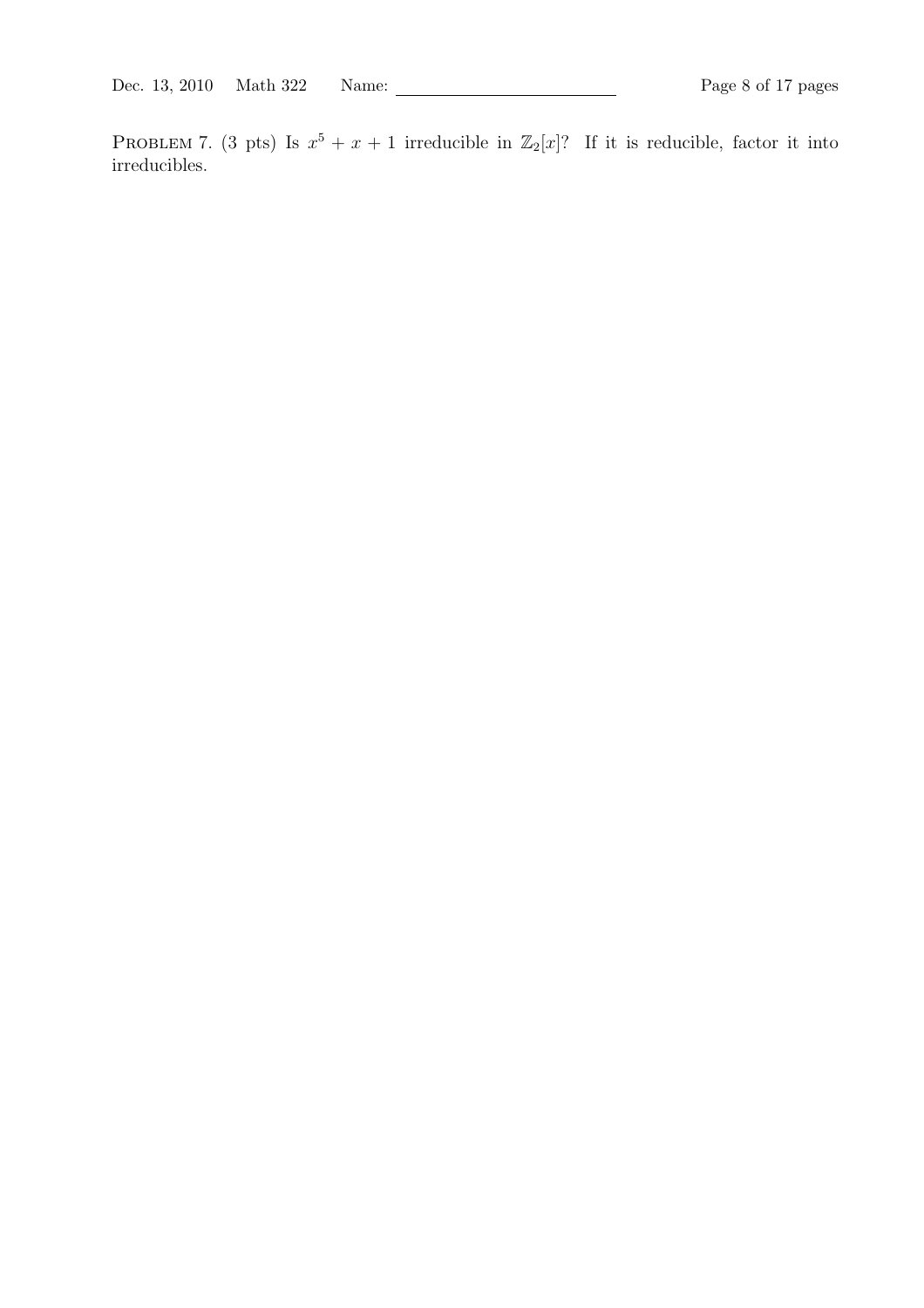PROBLEM 7. (3 pts) Is  $x^5 + x + 1$  irreducible in  $\mathbb{Z}_2[x]$ ? If it is reducible, factor it into irreducibles.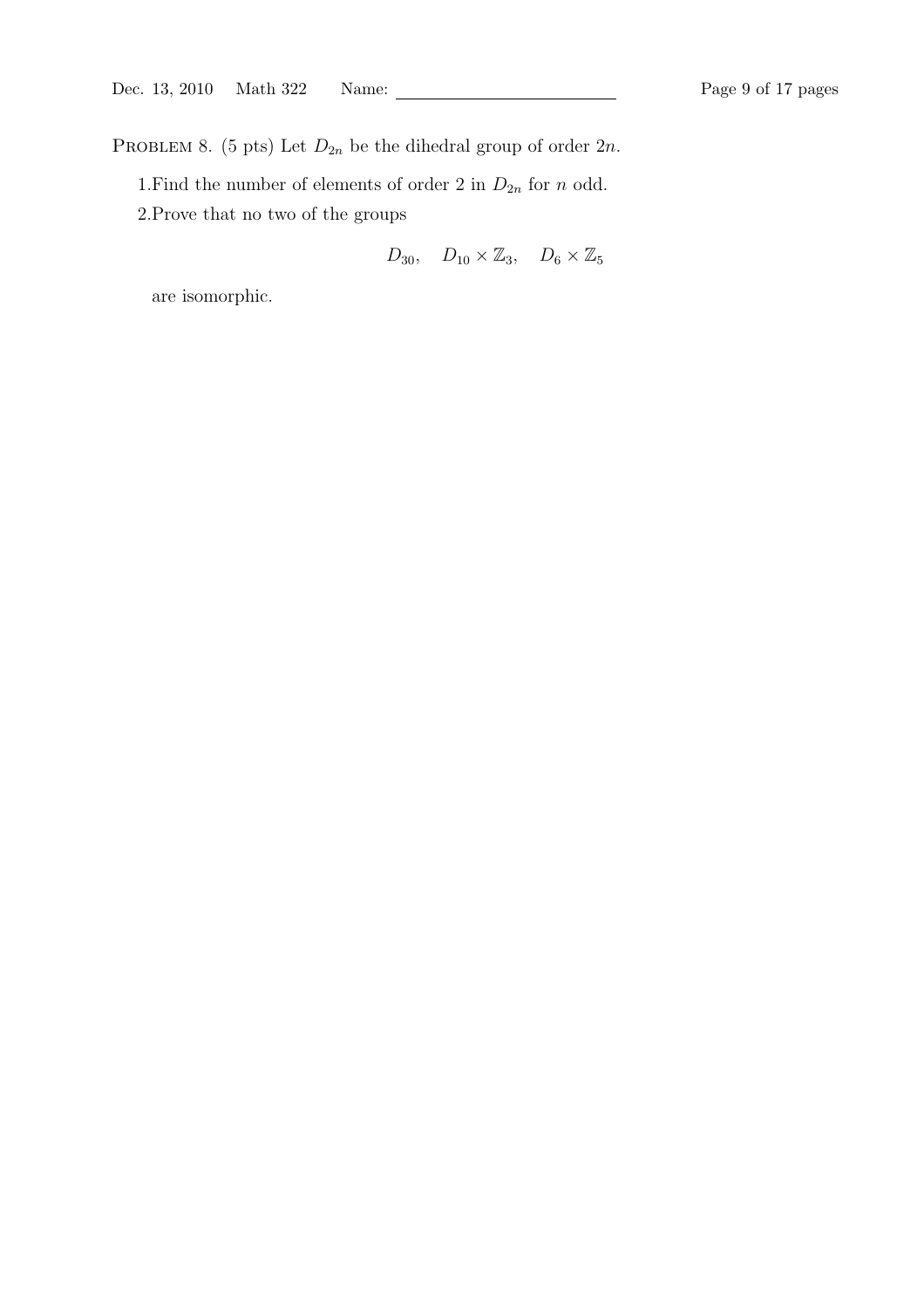PROBLEM 8. (5 pts) Let  $D_{2n}$  be the dihedral group of order  $2n$ .

1.<br>Find the number of elements of order 2 in  $\mathcal{D}_{2n}$  for<br>  $n$  odd. 2.Prove that no two of the groups

$$
D_{30}, \quad D_{10} \times \mathbb{Z}_3, \quad D_6 \times \mathbb{Z}_5
$$

are isomorphic.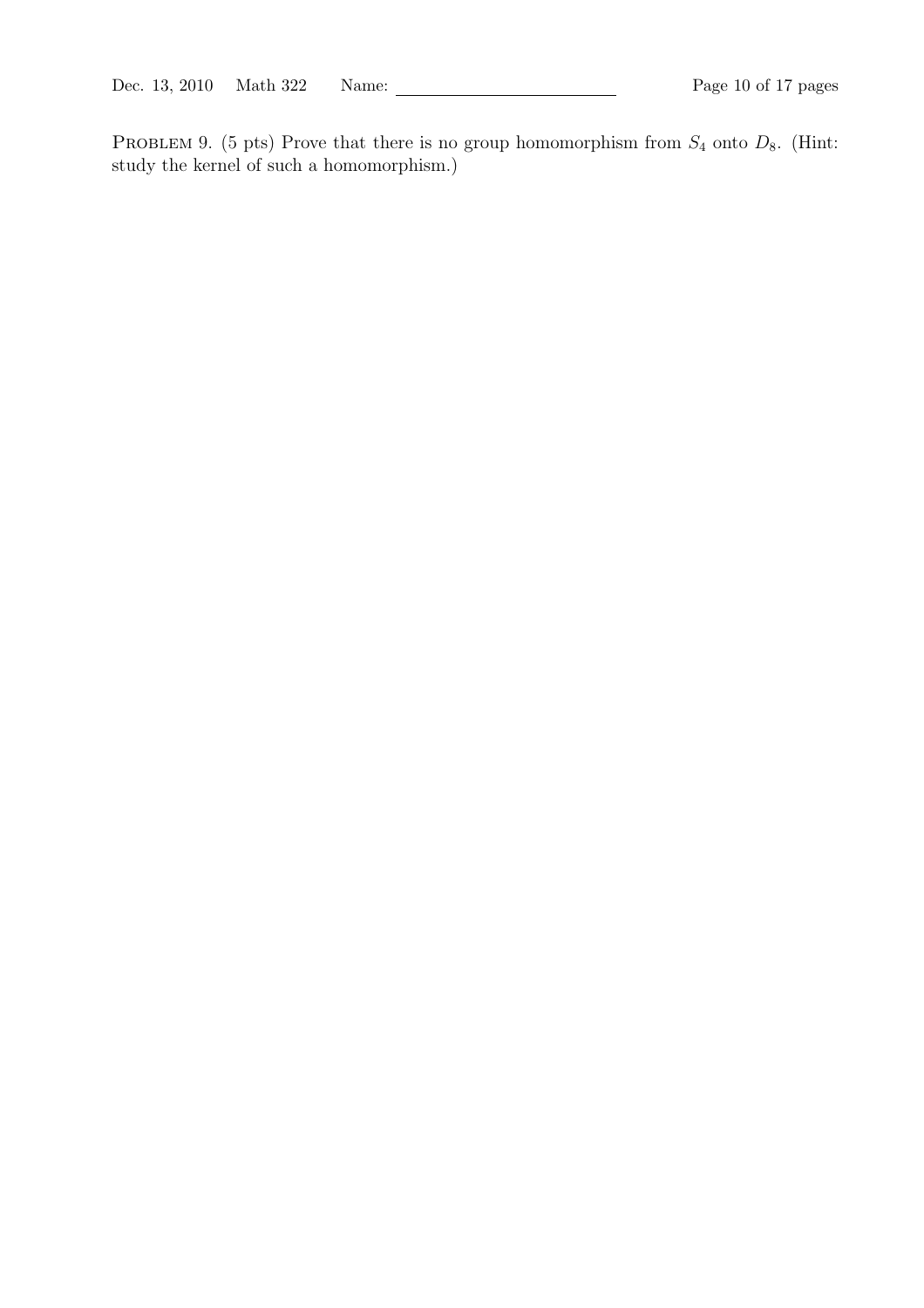PROBLEM 9. (5 pts) Prove that there is no group homomorphism from  $S_4$  onto  $D_8$ . (Hint: study the kernel of such a homomorphism.)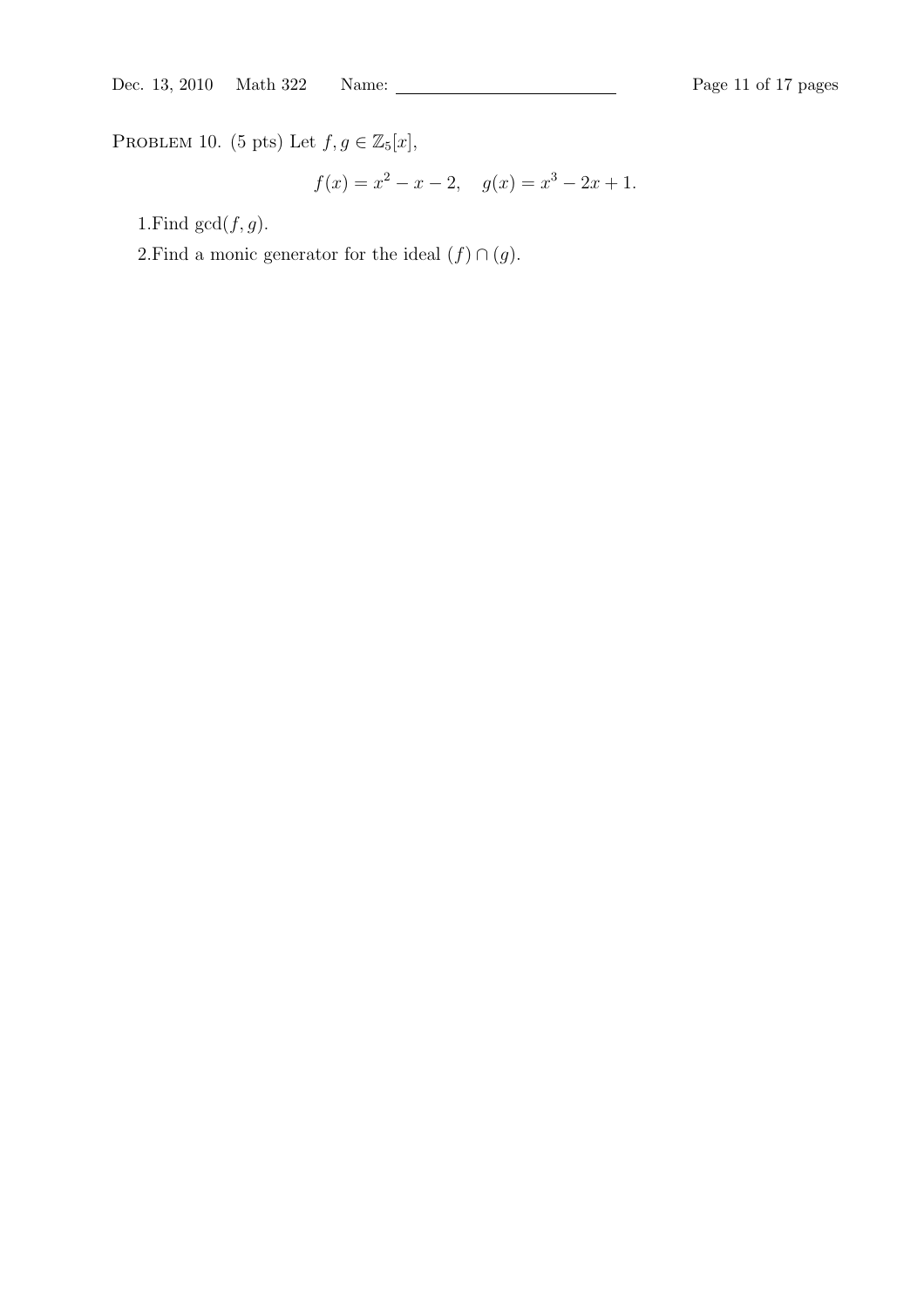PROBLEM 10. (5 pts) Let  $f, g \in \mathbb{Z}_5[x]$ ,

$$
f(x) = x^2 - x - 2, \quad g(x) = x^3 - 2x + 1.
$$

1.Find  $gcd(f, g)$ .

2.Find a monic generator for the ideal  $(f) \cap (g)$ .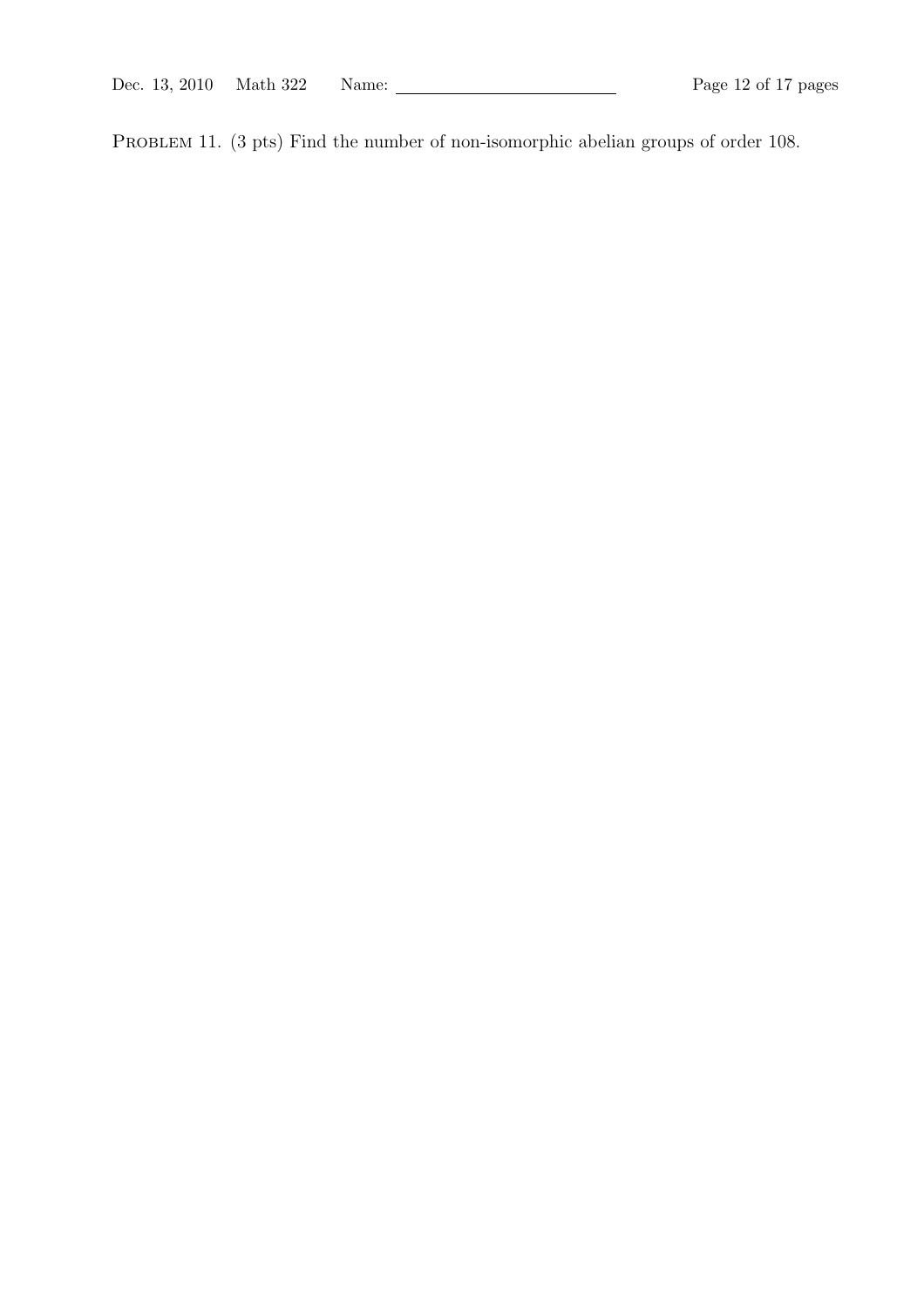PROBLEM 11. (3 pts) Find the number of non-isomorphic abelian groups of order 108.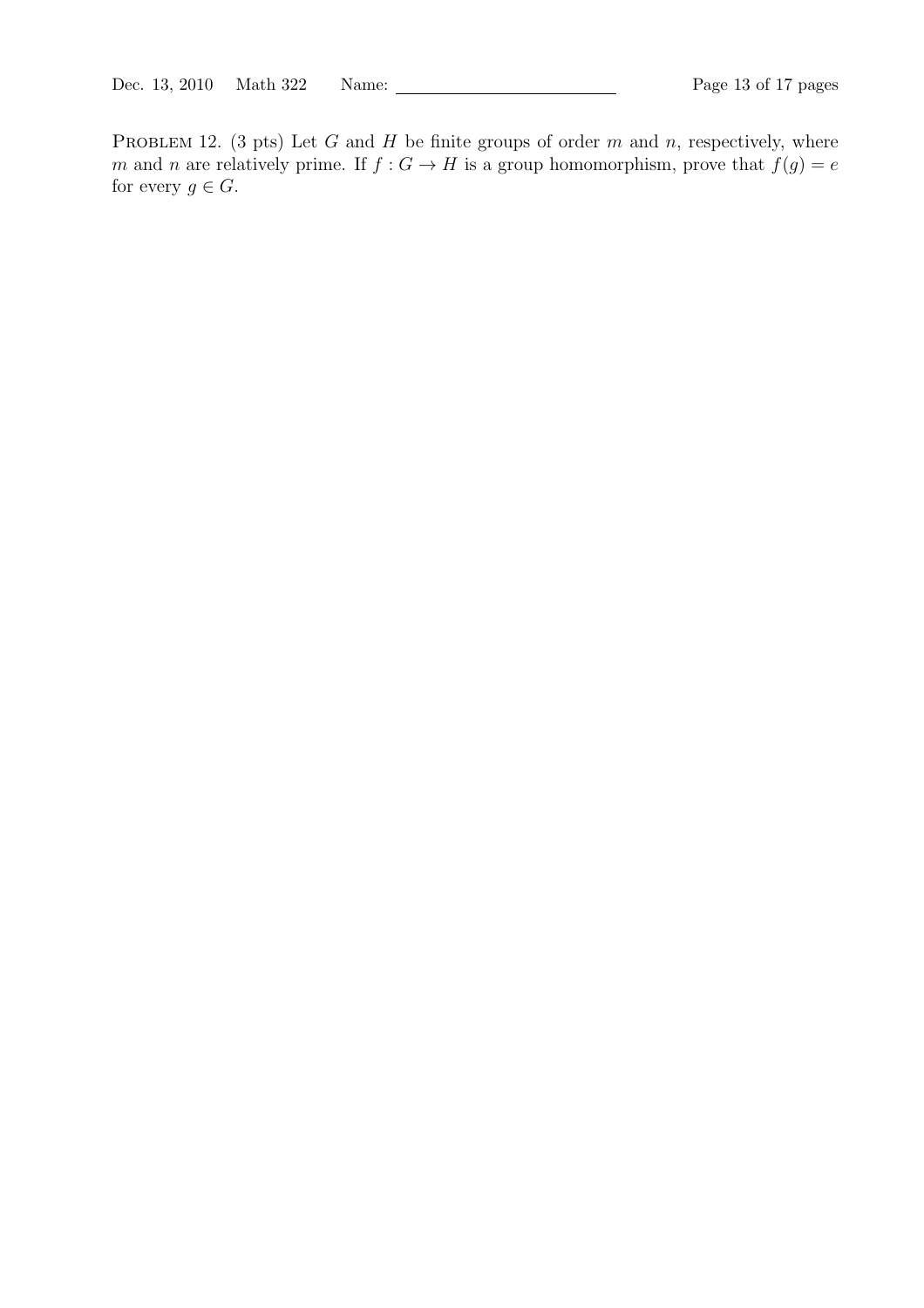PROBLEM 12. (3 pts) Let  $G$  and  $H$  be finite groups of order  $m$  and  $n$ , respectively, where m and n are relatively prime. If  $f : G \to H$  is a group homomorphism, prove that  $f(g) = e$ for every  $g \in G$ .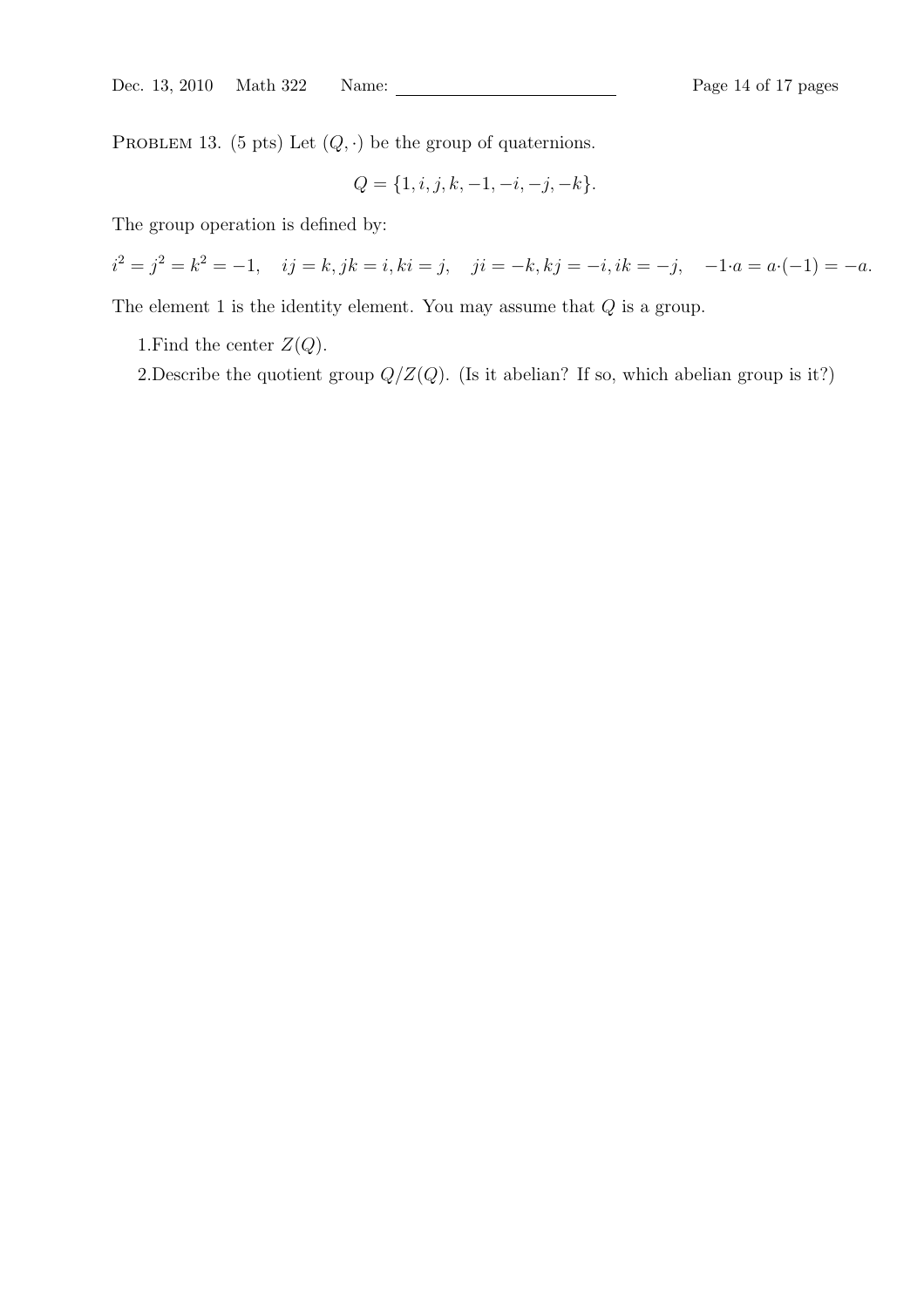PROBLEM 13. (5 pts) Let  $(Q, \cdot)$  be the group of quaternions.

$$
Q = \{1, i, j, k, -1, -i, -j, -k\}.
$$

The group operation is defined by:

 $i^2 = j^2 = k^2 = -1$ ,  $ij = k$ ,  $jk = i$ ,  $ki = j$ ,  $ji = -k$ ,  $kj = -i$ ,  $ik = -j$ ,  $-1 \cdot a = a \cdot (-1) = -a$ .

The element 1 is the identity element. You may assume that  $Q$  is a group.

1. Find the center  $Z(Q)$ .

2.Describe the quotient group  $Q/Z(Q)$ . (Is it abelian? If so, which abelian group is it?)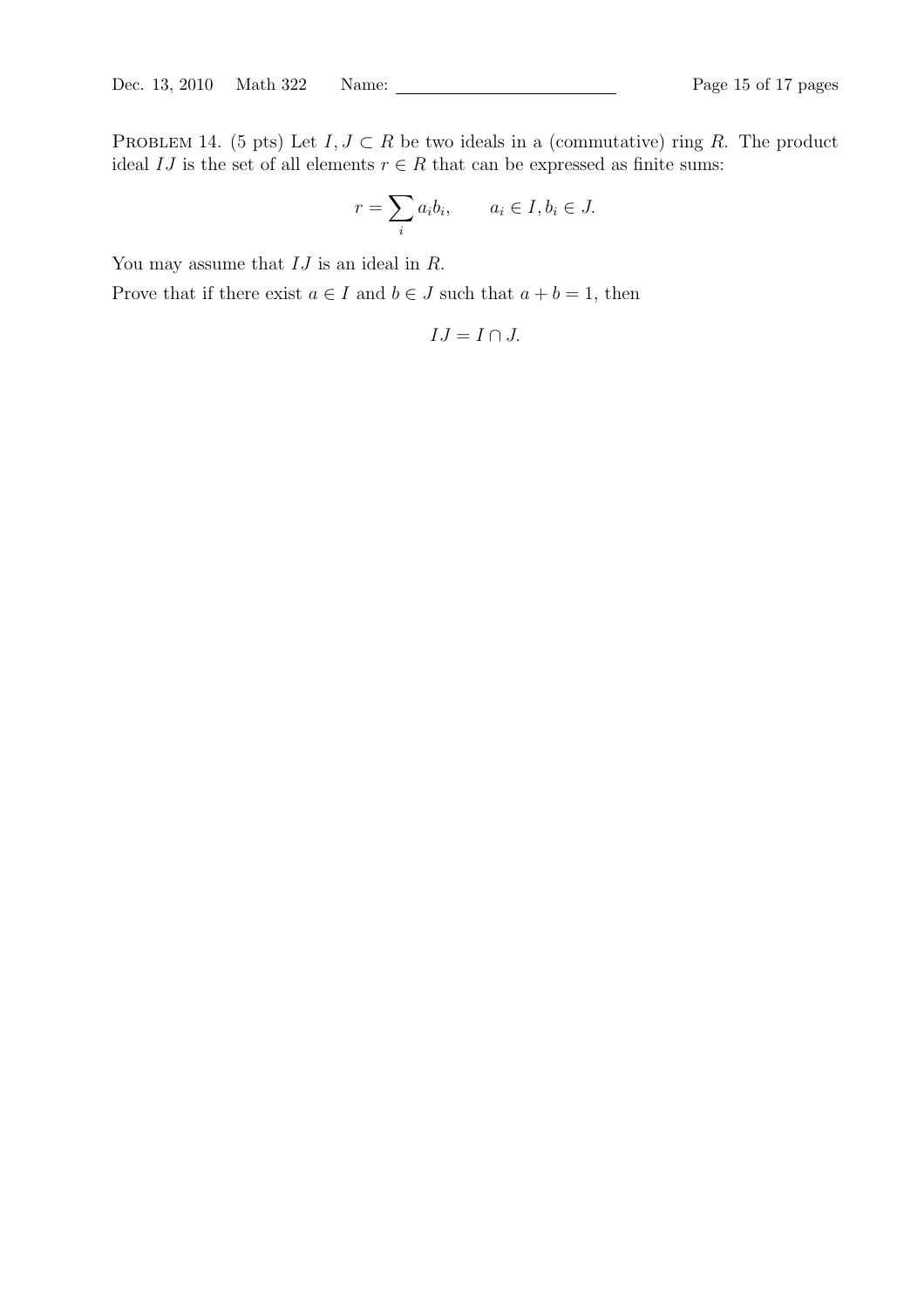PROBLEM 14. (5 pts) Let  $I, J \subset R$  be two ideals in a (commutative) ring R. The product ideal  $IJ$  is the set of all elements  $r \in R$  that can be expressed as finite sums:

$$
r = \sum_{i} a_i b_i, \qquad a_i \in I, b_i \in J.
$$

You may assume that  $IJ$  is an ideal in  $R$ .

Prove that if there exist  $a \in I$  and  $b \in J$  such that  $a + b = 1$ , then

$$
IJ = I \cap J.
$$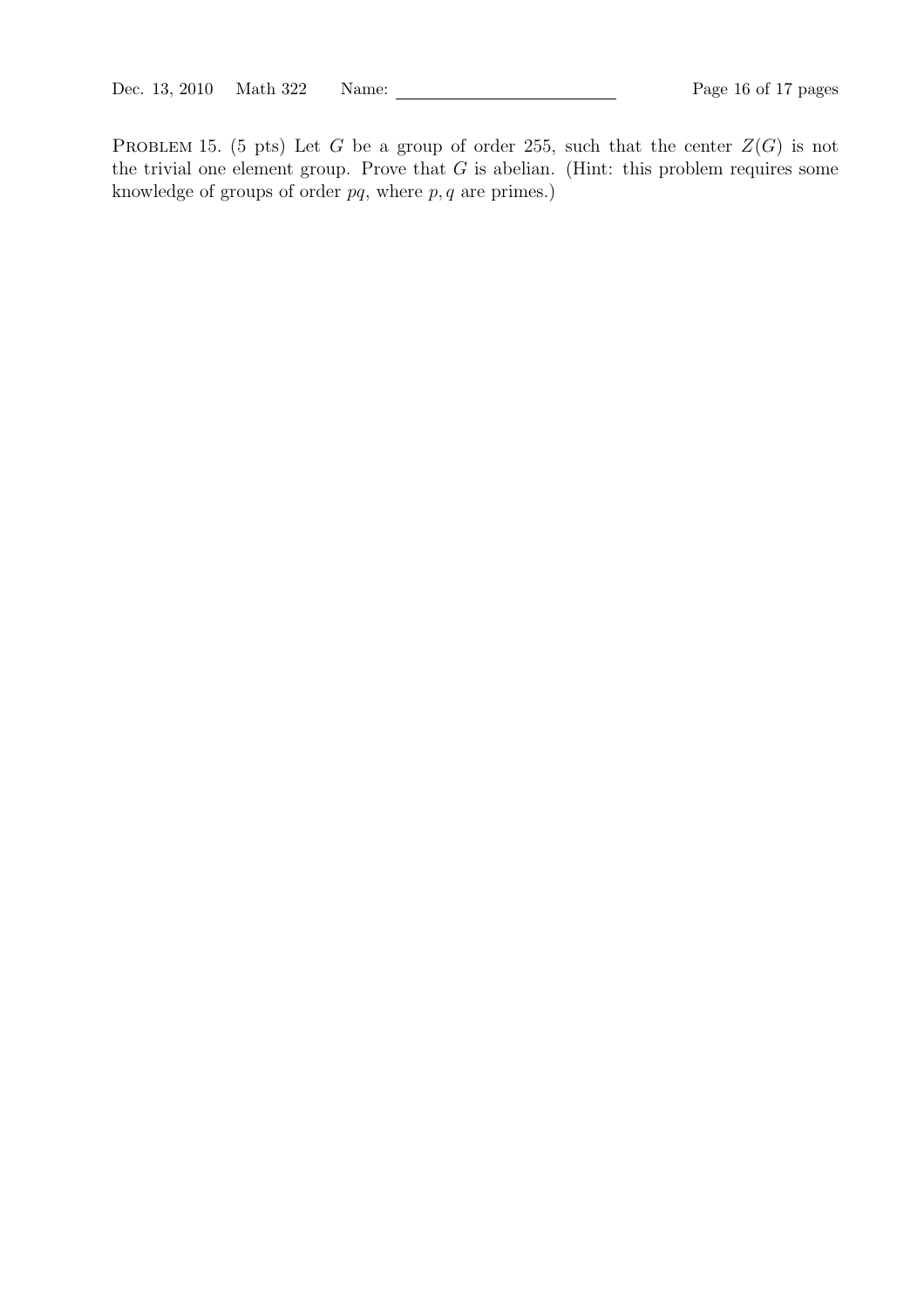PROBLEM 15. (5 pts) Let G be a group of order 255, such that the center  $Z(G)$  is not the trivial one element group. Prove that  $G$  is abelian. (Hint: this problem requires some knowledge of groups of order  $pq$ , where  $p, q$  are primes.)